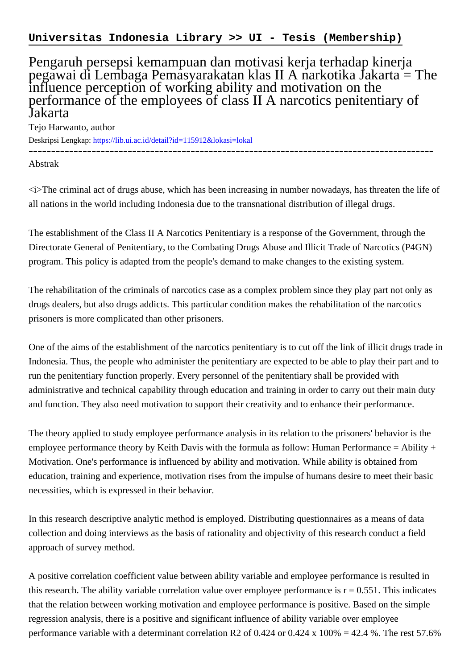## Pengaruh persepsi kemampuan dan motivasi kerja terhadap kinerja pegawai di Lembaga Pemasyarakatan klas II A narkotika Jakarta = The influence perception of working ability and motivation on the performance of the employees of class II A narcotics penitentiary of Jakarta

Tejo Harwanto, author Deskripsi Lengkap:<https://lib.ui.ac.id/detail?id=115912&lokasi=lokal>

------------------------------------------------------------------------------------------

Abstrak

<i>The criminal act of drugs abuse, which has been increasing in number nowadays, has threaten the life of all nations in the world including Indonesia due to the transnational distribution of illegal drugs.

The establishment of the Class II A Narcotics Penitentiary is a response of the Government, through the Directorate General of Penitentiary, to the Combating Drugs Abuse and Illicit Trade of Narcotics (P4GN) program. This policy is adapted from the people's demand to make changes to the existing system.

The rehabilitation of the criminals of narcotics case as a complex problem since they play part not only as drugs dealers, but also drugs addicts. This particular condition makes the rehabilitation of the narcotics prisoners is more complicated than other prisoners.

One of the aims of the establishment of the narcotics penitentiary is to cut off the link of illicit drugs trade in Indonesia. Thus, the people who administer the penitentiary are expected to be able to play their part and to run the penitentiary function properly. Every personnel of the penitentiary shall be provided with administrative and technical capability through education and training in order to carry out their main duty and function. They also need motivation to support their creativity and to enhance their performance.

The theory applied to study employee performance analysis in its relation to the prisoners' behavior is the employee performance theory by Keith Davis with the formula as follow: Human Performance = Ability + Motivation. One's performance is influenced by ability and motivation. While ability is obtained from education, training and experience, motivation rises from the impulse of humans desire to meet their basic necessities, which is expressed in their behavior.

In this research descriptive analytic method is employed. Distributing questionnaires as a means of data collection and doing interviews as the basis of rationality and objectivity of this research conduct a field approach of survey method.

A positive correlation coefficient value between ability variable and employee performance is resulted in this research. The ability variable correlation value over employee performance is  $r = 0.551$ . This indicates that the relation between working motivation and employee performance is positive. Based on the simple regression analysis, there is a positive and significant influence of ability variable over employee performance variable with a determinant correlation R2 of 0.424 or 0.424 x 100% = 42.4 %. The rest 57.6%